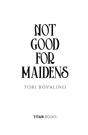# **NOT**  $GOD$ FOR **MAIDENS** TORI BOVALINO

**TITAN BOOKS**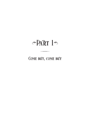## $\epsilon$ PART 1  $rac{3}{2}$

### COME BUY, COME BUY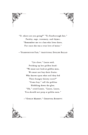



"O, where are you going?" "To Scarborough fair," Parsley, sage, rosemary, and thyme; "Remember me to a lass who lives there, For once she was a true love of mine."

—"SCARBOROUGH FAIR," TRADITIONAL ENGLISH BALLAD

"Lie close," Laura said, Pricking up her golden head: "We must not look at goblin men, We must not buy their fruits: Who knows upon what soil they fed Their hungry thirsty roots?" "Come buy," call the goblins Hobbling down the glen. "Oh," cried Lizzie, "Laura, Laura, You should not peep at goblin men."

-"GOBLIN MARKET," CHRISTINA ROSSETTI



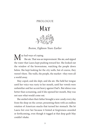#### prologue

May



*Boston, Eighteen Years Earlier*

 $\mathbf{M}$  ay had ways of coping.<br>She ate. That was an improvement. She ate, and sipped the water that Laura kept pushing toward her. She looked out the window of the brownstone, watching the people down below. She kept looking for the city walls, but of course, they weren't there. The walls, the people, the market—they were all a world away.

May coped, and she slept, and she ate. She held her tongue until her voice was rusty in her mouth, until her vowels were unfamiliar and her accent heavy against Dad's. But silence was better than screaming, and if she opened her mouth, May was not sure what would come out.

She smiled when their father brought a new candy every day from the shop on the corner, presenting them with an endless rotation of American snacks that turned her stomach. She let Laura fret over her because it hinted at forgiveness awarded or forthcoming, even though it tugged at that deep guilt May couldn't shake.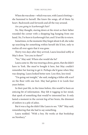When she was alone—which was rare, with Laura's fretting she hummed to herself. She knew the songs, all of them, by heart. Backwards and forwards and all the way around.

*Are you going to Scarborough Fair?*

*No,* May thought, staring down at the street as their father rounded the corner with a shopping bag hanging from one hand. *No, I've been to Scarborough Fair, and I'd not like to return.*

Sometimes, in the moments May forgot about it all, she woke up searching for something within herself she'd lost, only to realize all over again that it was gone.

Thirty-two days after they arrived, Laura knocked softly at May's door. "Are you in there?"

"Yes," May said. Where else would she be?

Laura came in. She was wearing a dress, green, that she didn't have in York. She must've bought it here, but May couldn't remember her leaving to get it. Perhaps she'd gone when May was sleeping. Laura looked better now. Less thin, less tired.

"I'm going out tonight," she said, nudging a fallen silk scarf on the floor with one foot. May had gotten it in Leeds four years before.

In their past life, in the times before, this would've been an enticing bit of information. May felt it tugging in her mind, that spark of something that would've interested her. It only lasted a moment in the current fog of her brain, the dimmest of embers in a pile of ashes.

But it was a fog she didn't like Laura to see. "Oh?" May said, remembering that she had to say something.

Laura nodded. "With a boy. He works at that bookshop on Newbury."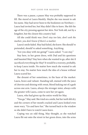There was a pause, a pause May was probably supposed to fill. She stared at Laura blankly. Maybe she was meant to ask his name. May had never been to the bookstore on Newbury— Laura had invited her, but May didn't like to leave. She felt the age of the city pressing against her skin. Not York old, not by a longshot, but the closest this country had.

All she could think was: *Don't stay too late, don't seek the market, you don't know if there's a market.* 

Laura's smile faded. May had failed, she knew. She should've pretended, should've asked something. Anything.

"Are you okay with me going?" Laura asked. "I can stay."

Stay here, in her green dress, with Dad and his questions and haunted May? Stay here when she wanted to go, after she'd sacrificed everything for May? It would be a travesty, probably, to keep Laura inside. No matter how much she wanted to ask her to stay. No matter how much the idea of a house without Laura scared her.

She dreamt of her sometimes, in the haze of the market: Laura, brave and valiant. Standing tall, stained with the juice of cherries and shining with sweat, blood leaking out of a gash across one arm. Laura, always the stronger sister, always with the greater will; Laura, come to save her yet again.

Laura, who had given up the entire world for May.

"You go," May said. She tried on a smile, but her teeth felt dry and the corners of her mouth cracked and Laura looked even more wary. "Go and have fun." She turned back to the window so she didn't have to watch Laura leave.

Coping was an odd thing, May thought, as she watched Laura flit out onto the street in her green dress, into the arms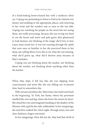of a kind-looking brown-haired boy with a mediocre silver car. Coping was pretending to listen to Dad as he chatted over dinner and nodding in the appropriate places, and returning to her room and the window seat as soon as she was able. Coping was watching the people on the street but not seeing them, not really processing, because she was trying too hard to see the horns and warts and pale green skin glamoured to look human; not thinking of the magic she'd lost or how Laura must resent her. It was not running through the spells that were once so familiar to her she practiced them in her sleep, not calling Mum every day to see what she was missing, what she'd given up, what she'd thrown away because of May's mistakes.

Coping was not thinking about the market, not thinking about the market, not thinking about anything other than the market.

When May slept, it felt less like she was slipping from consciousness and more like she was falling out of present time, back to somewhere else.

Well, not just anywhere else. Most times, her mind went back to the beginning. To York, her home, where the pavement smelled like rain and fog, where she knew the streets by heart. She closed her eyes and imagined standing in the shadow of the Minster with a girl by her side, unbloodied. In her imaginings, she and Eitra walked the velvet night, through misty rain and clear darkness, fingers entwined.

In her imaginings, Eitra did not die. May had that thrill of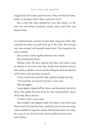magic back, even if she could not use it. They were home, home, home, in the place where May could not return.

But in the end, May opened her eyes, like always. In the end, she was always banished, always alone, and Eitra was always dead.

An indeterminate amount of time later, long past dark, May watched the silver car pull back up to the curb. The boy got out, went around, and opened Laura's door. They kissed on the street outside.

May tasted a rush of goblin blood in her mouth.

She swallowed it down.

Minutes later, the door opened and shut, and Laura came in silently to sit on her bed. Her cheeks were flushed and her hair askew, and there was no point telling her that the buttons of her dress were not done correctly.

It was a detail she noticed, May realized, despite the fog.

"You look like you haven't moved," Laura said.

May shrugged.

Laura sighed, slipped off her shoes, and shimmied out of her dress. She pulled the pins from her hair and grabbed a spare shirt from May's drawer.

"Come to bed," Laura said.

May nodded. She slipped under the sheets, still in her jean shorts and tank top that Laura made her put on that morning. Laura smelled of cigarette smoke and lipstick, but it was okay. In a way, it was the first time she'd smelled normal since . . . since before.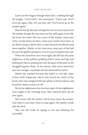Laura ran her fingers through May's hair, combing through the tangles. "You're here," she murmured. "You're safe. You'll never go again, May. Do you hear me? You'll never go to the market again."

May bit her lip. Because, though she was an ocean away from the market, though she may never see the walls again in her life, she knew the truth. She was a part of the market. Some part of her would always be there. Some part would never leave as her blood clung to Eitra's skin, as they decayed into flowers and moss together. Maybe, in her time away, some part of her had become the goblin's property, even if Laura had gotten her out.

When she closed her eyes every night, she fell into the same nightmare of the goblins grabbing Eitra's arms and legs and holding her down, pushing her into the grass of the park as she struggled against them. In her dream, May never closed her eyes fast enough, or perhaps she forced herself to watch.

Maybe she watched because she hadn't in real life, when it had really happened. She'd only heard the snick of the knife, had only imagined the hot splash of Eitra's blood, and heard her sharp scream cut off.

But in her nightmares, her eyes were open. In her nightmares, every night at the witching hour, May watched Eitra die all over again.

She'd never left the market. She'd never leave the market. And when it was time, when it came again, the market would take her back.

That was the truth of coping: it was just delaying the inevitable.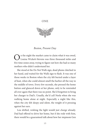#### ONE



#### *Boston, Present Day*

On the night the market came to claim what it was owed, Louisa Wickett-Stevens was three thousand miles and five time zones away, trying to figure out how she had so many mothers who didn't understand her.

She stood at the Do Not Walk sign, dead phone clutched in her hand, and waited for the Walk sign to flash. It was one of those weeks in Boston when the city felt buried under a layer of heat, when she could almost smell the harbor all the way in the middle of town. Every few seconds, she pressed the home button and glanced down at her phone, only to be reminded all over again that there was no point. She'd forgotten to bring her charger to Dad's. Usually, she'd call Neela when she was walking home alone at night. Especially a night like this, when the city felt sleepy and silent, the weight of it pressing against her ears.

Lou shifted, wishing the light would just *change* already. Dad had offered to drive her home, but if she rode with him, there would be a guaranteed talk about how her stepmom Gen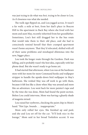was just trying to do what was *best,* trying to be closer to Lou. As if closeness was what she needed.

The walk sign flipped on, and Lou jogged across. It wasn't a far walk: a mile at best, from her dad's place in Beacon Hill to the apartment in Back Bay where she lived with her mom and aunt May, recently inherited from her grandfather. Sometimes, Lou's feet still dragged her to the bus route that would take them to their old place, and she had to consciously remind herself that their cramped apartment wasn't home anymore. That they'd relocated, shifted with all of their same problems and misshaped dilemmas into the new, bigger place.

Lou took the longer route through the Gardens. Dark was falling, and it probably wasn't the best idea, especially with her phone dead. But she wasn't ready to go home yet.

It had started that afternoon, when Lou was at the hardware store with her mom for more Command hooks and wallpaper stripper to handle the upside-down bird wallpaper in May's bathroom. She wished May was off work to go with them, because it felt less like a chore when May was around and more like an adventure. Lou went back for more painter's tape and by the time she was done, Mom had found the paint section. Before Lou could intervene, Mom was having a ghastly shade of magenta mixed.

Lou raised her eyebrows, checking the paint chip in Mom's hand. "Hot Lips. Sounds . . . inappropriate."

Mom only rolled her eyes. She finished up and paid, and she and Lou set off for the car. "It'll look nice in the lounge," Mom said in her broad Yorkshire accent. It was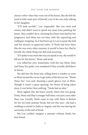always softer when they were out of the house, like she felt the need to hide some part of herself, even if she was only talking to her daughter.

"It'll look terrible," Lou responded. She was tired and sweaty and didn't want to spend any more time painting the house. May couldn't do it, claiming the fumes were bad for her pregnancy, and Mom was too busy with the unpacking and wallpaper stripping. So it had been up to Lou to paint the hall and the nursery in approved colors. If Neela had been there like she was every other summer, it would've been fun. But by herself, the whole thing was dull and annoying.

"If I spoke to my mum the way you speak to me, she would've left me for the fairies," Mom said airily.

Lou rolled her eyes. Sometimes, with the way Mom, May, and Nana Tee spoke, Lou wondered if they actually *did* believe in fairies.

She slid into the front seat, rolling down a window as soon as Mom turned the car on to get some of the hot air out. "About Nana Tee," Lou said, shooting a quick glance over at Mom. Though it wasn't a great opening, the threat of being taken away, it was better than nothing. "Neela had an idea."

Mom sighed, like she knew exactly where this was going. Neela, Mom and May's younger half sister, was just a year older than Lou. Usually, Neela came to stay with them in Boston for her six-week summer break, but not this year—she had a wedding to attend in India in August, and she was leaving for university at the end of break.

But Lou couldn't imagine a summer without Neela, her best friend.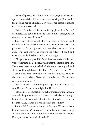"What if I go stay with them?" Lou asked, trying to keep her eyes on the road ahead. It was easier than looking at Mom, easier than seeing her quick refusal, or worse, her disappointment that Lou would even ask.

"When? Your dad has that Yosemite trip planned for August," Mom said. Lou couldn't miss the caution in her voice, like she was seeking an easy dismissal.

Lou picked at the frayed edge of her shorts. She'd rescued them from Neela two summers before, when Neela splattered paint on the front right side and was about to throw them away. Lou kept them; she thought the splattered paint and worn rips made the shorts look cool and edgy.

"Nee gets back August 10th. School doesn't start until the first week of September." Lou dug her nails into the meat of her palm. There were negotiations to be had, the same tired fight they'd struggled through Lou's entire life. "Why can't I go there?"

Mom's lips were thinned into a line, her knuckles white as she clenched the wheel. "You're with your dad then. The custody agreement includes—"

"I'm seventeen," Lou interrupted. "I get a say in where I go. And Dad won't care. Gen might, but Dad—"

"No, Louisa," Mom said. It was a sharp word, cutting through any and all arguments Lou and Neela had hashed over the night before. She felt that terrible knot in her stomach, the lump in her throat. Lou leaned her head against the window.

But she didn't want to give up, not this time. "I've never been to your hometown," Lou said, trying to keep her voice steady. "I don't know anything about where you and May are from. Don't you think that's a little weird?"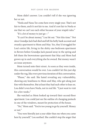Mom didn't answer. Lou couldn't tell if she was ignoring her or not.

"Neela and Nana Tee come here every single year. That's not fair to them, and it's not fair to me. And it's not fair to Neela or me that we can't see each other because of your stupid rules."

"It's a lot of money to just go—"

"It can't be about money," Lou bit out. "Not this time." Not since Grandpa Jack had died and left his hefty bank account and swanky apartment to Mom and May. Yes, they'd struggled for Lou's entire life, living in the shitty one-bedroom apartment in Revere before Grandpa Jack passed away in the spring and left them the brownstone apartment that May and Mom had grown up in and everything else he owned. But money wasn't an issue anymore.

Mom turned onto their street. As soon as they were inside, this conversation would be over. Lou couldn't let this just slip under the rug, like every previous iteration of this conversation.

"Please," she said. She hated revealing any vulnerability, showing any loneliness to Mom and May, who got along just fine with themselves. But at least they had each other to lean on. Lou didn't even have Neela, not in real life. "I just want to visit for a few weeks."

She watched as Mom looked up toward their second-floor apartment. Lou could just see the outline of a hanging pentacle in one of the windows, meant for protection of the house.

"No," Mom said. "You're too young to go by yourself. Money or not."

"You were literally just a year older than me when you came here by yourself," Lou seethed. She couldn't stop the anger that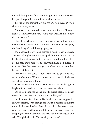flooded through her. "It's been enough time. Since whatever happened to you that you refuse to tell me about."

*Let me in,* she thought. *Let me see who you were, why you chose this, why you left.*

Mom's eyes cut over to her, hard and emotionless. "I wasn't alone. I came here with May to live with Dad. And look how that turned out."

The jab smarted, even though she knew her mother didn't mean it. When Mom and May moved to Boston as teenagers, the first thing Mom did was get pregnant.

Mom closed her eyes and pressed a hand to her forehead. The hairs along her neck had escaped from the bun on top of her head and stood out in frizzy curls. Sometimes, it felt like Mom's dark wavy hair was the only thing Lou had inherited from her. Like they were strangers, unrelated and unknowable, besides that dark hair.

"I'm sorry," she said. "I don't want you to go alone, not without May or me." Her accent was thicker, just like it always was when she spoke of home.

It was finished and done. Mom would not let her go to England to see Neela and there was no debate there.

Or so Lou thought as she angrily texted Neela from her room. But then Nee said, *Would your dad let you?*

So off Lou went to dinner at Dad's, where she was supposedly always welcome, even though she wasn't a permanent fixture there like her stepbrother, Peter. Except that plan wasn't great either, because Gen threw a whole fit about Lou even *considering* skipping the family vacation, and Dad had only shrugged and said, "Tough luck, Lulu. We can all go next year."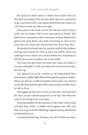But next year didn't matter. It didn't even matter that Lou had dual citizenship if her parents didn't give her permission to go. And worst of all, Lou's phone died before she could even call Neela to come up with a new plan.

Now, alone in the dark, Lou let the full force of her misery settle into her bones. She'd never been good at friends. She didn't know what parts to show, what parts to keep. Maybe she'd gotten that from Mom, who held everything so close to her chest that Lou wasn't sure anyone knew her, other than May.

She pushed her hands into her pockets and left the Gardens, turning onto Comm Ave. This, at least, was well lit. There was nothing to worry about, not a soul to bother her. Sometimes, it felt like there wasn't another soul in the world.

The faster she got home, the faster she could call Neela. It was past midnight in York, but Neela was out with her friends. She'd be up.

Lou glanced up at the window as she approached their brownstone. Golden light filtered through the upstairs window. Mom was still up, or May had gotten home early. Lou chewed on her lip. She just had to get to her room, and she wouldn't have to talk to them.

She jogged up the stairs to the second floor and unlocked the door, excuses already prepared on her lips. But when she went in, the living room was empty.

Mom had pushed all the furniture to the center of the room and laid drop cloths. A ladder stood against one wall, and there was a pan with the offending magenta and an abandoned paintbrush left in it.

Lou paused, listening. The place was old. If Mom was here,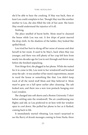she'd be able to hear the creaking. If May was back, then at least Lou could complain to her. Though May was like another mother to Lou, she also filled the role of fun aunt. She knew May would understand the injustice of it all.

Nothing.

The place smelled of burnt herbs. Mom must've cleansed the house while Lou was out. A few drips of paint marred the drop cloth. In the shadows of the ladder, they looked like spilled blood.

Lou tried her best to shrug off her sense of unease and shut herself in her room. It used to be May's, back when May was younger, and there was still plenty of her crap left here from nearly two decades ago for Lou to sort through and throw away before she finished unpacking.

First things first, she plugged in her phone. While she waited for it to come to life, Lou went to her windowsill and brushed away the salt—it was another of her mom's superstitions, meant to ward the house or something like that. Lou didn't keep track of all the weird stuff Mom and May believed it. Mom must've gone on a full spree earlier after cleansing. The salt looked new, and there was a new iron pentacle hanging over Lou's window.

She changed into soft shorts and a Boston University T-shirt before settling onto the windowsill. The air conditioning was flighty and old, so Lou preferred to sit here with her window open to cool down. She pulled her phone to her as it flashed, coming back to life.

It immediately started vibrating. Lou wasn't surprised to see the flurry of drunk messages coming in from Neela: three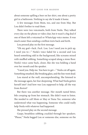about someone spilling a beer on her shirt, one about a pretty girl in a bathroom. Nothing to say she'd made it home.

A few messages from Mom, too, and one from May. But Lou didn't bother to read them.

There were two voicemails, both from Neela. They talked every day on the phone or video chat, but it wasn't a big deal if one of them left a voicemail or WhatsApp voice memo. It was much easier than sending a million texts back and forth.

Lou pressed play on the first message.

"Oh my god—fuck. *Fuck.* Lou. Lou I need you to pick up, I need you to—" Neela's voice faded for a second and Lou heard something odd in the background, like screams mixed with muffled sobbing. Something scraped along a stone floor. Neela's voice came back, closer, like she was holding a hand over her mouth and the speaker.

"I need you. Help me. You have to get—" Neela cut off again. Something smashed, like breaking glass, and the line went dead.

Lou stared at the wall, uncomprehending. She listened to the message again, her fear deepening. What had Neela gotten herself into? And how was Lou supposed to help, all the way from *Boston*?

But there was another message. Her mouth tasted bitter, bile creeping up from her stomach. She didn't want to listen. She needed to call Mom or May or Nana Tee, someone who understood what was happening. Someone who could really help Neela with whatever had happened.

She pressed play on the second message.

Gaspy, breathless sobbing crackled through her speakers. "Please," Neela begged Lou or someone else, someone on the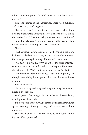other side of the phone. "I didn't mean to. You have to get me *out*."

Someone shouted in the background. There was a dull roar, and above it all, a cackling sound.

"I'm out of time," Neela said, her voice more forlorn than Lou had ever heard it. Lou's palms were slick with sweat. "I'm at the market, Lou. When they ask you where to find me, I'm—"

Something clattered. The phone, maybe? In the distance, Lou heard someone screaming. Her heart plummeted.

*Neela.*

The line was silent for a second, as if all the sound in the room had been sucked out. And then, just as Lou was about to start the message over again, a very different voice took over.

*"Are you coming to Scarborough Fair?"* the voice whispersung in a rusty alto. A chill ran down Lou's spine. Then, lower, almost inaudible, "We're waiting for you, Louisa Wickett."

The phone fell from Lou's hand. It had to be a prank, she thought, scrambling for her phone. She needed to know it was a prank.

Lou called Neela.

The phone rang and rang and rang and rang. No answer. Neela didn't pick up.

*Don't panic,* she thought. It had to be an ill-considered, drunk prank. It *had* to be.

But Neela sounded so awful. So scared. Lou dialed her number again, listening as it rang and rang and no one answered, no one came.

She sent a quick text before trying to call again: *What happened? Are you okay?*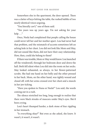Somewhere else in the apartment, the door opened. There was a clatter of keys hitting the table, the rushed babble of two nearly identical voices arguing.

"You literally *can't,*" one of them said.

"Ten years was up years ago. I'm not asking for your help . . ."

Once, Neela had complained that people calling the house could never tell her and her mother apart. Lou had never had that problem, and the mismatch of accents sometimes left an aching hole in her chest. Lou did not look like Mom and May, did not sound like them, did not have their easy relationship. How, then, could she belong to them?

If there was trouble, Mom or May would know. Lou launched off the windowsill, through her bedroom door and down the hall. Both fell silent when Lou slid into the room on her socks. May looked exhausted, as always, in her flower-patterned scrubs. She had one hand on her belly and the other pressed to her back. Mom, on the other hand, was tightly wound and closed off, with her arms crossed over her chest and a muscle in her jaw ticking.

"Have you spoken to Nana or Neela?" Lou said, the words coming out in a rush.

The silence stretched too long, long enough to realize that there were black streaks of mascara under May's eyes. She'd been crying.

Lou's heart thumped harder, a dark stone of fear rippling in her stomach.

"Is everything okay?" But even as she asked, she knew. It wasn't, it wasn't, it wasn't.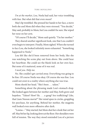*I'm at the market, Lou,* Neela had said, her voice trembling with fear. But what did that even *mean*?

May's lip trembled. She pressed her hands to her face, a move both she and Mom did when they were stressed. "You decide," May said, probably to Mom, but Lou couldn't be sure. She wiped her nose on her arm.

"Of course I'll decide," Mom said quietly. "I'm her mother."

They shared another significant look, one that Lou couldn't even begin to interpret. Finally, Mom sighed. When she turned to face Lou, she looked infinitely more exhausted. "Something happened to Neela."

Lou felt like she'd been removed from her body, like she was watching the scene play out from above. She could hear her heartbeat. She could see the blank look on her own face. But none of it mattered, none of it was real.

*I need you. Help me.*

No. She couldn't get carried away. Everything was going to be fine. Of course Neela was okay. Of course she was fine. Lou could not exist in a reality where anything else was true.

Mom shook her head. "She's been . . . taken."

Something about the phrasing made Lou's stomach drop. She looked again between her mother and May, both grave and hopeless. "Taken? How? By . . . a gang? Sex trafficking? Like, that Liam Neeson movie?" Her mind spun in circles, grappling for purchase, for anything. Behind her mother, the magenta wall looked even more offensive after dark.

"Louisa—" May started, but Mom shot her a look that cut her off. May bit her lip, looking down at the floor. Her shoulders were full of tension. The way they stood reminded Lou of a picture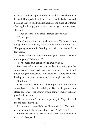of the two of them, right after they moved to Massachusetts to live with Grandpa Jack. In it, both sisters had looked drawn and pale, and May especially looked haunted. She'd had a hard time aligning her happy, joyful aunt to that image, but now—now, she saw it.

"Taken by what?" Lou asked, dreading the answer.

"Taken by—"

"May." Mom cut her off harshly, turning May's name into a ragged, wretched thing. Mom shifted her attention to Lou. "I'm going to handle it. You'll go stay with your father for a few weeks."

There was that spinning sensation again. "You're . . . Where are you going? To handle it?"

"York," Mom said, biting off the hard syllable.

Lou stared at her, waiting for an explanation, waiting for the words to make sense. Neela was gone—gone where, she did not know, but gone somewhere—and Mom was leaving. Mom was leaving her here, and she wasn't even leaving her with May.

"But Mom—"

It was too late. Mom was already gone into the kitchen where Lou could hear her talking to Dad on the phone. Lou stared at May as if the answers would come from her, but May just shook her head.

"Neela called me," Lou said desperately to May. "She told me she needed my help."

May's face was carefully blank. "Laura will fix it," May said, darting a doubtful glance at Mom's back. "She'll fix it."

But that wasn't an answer; not even close. "What happened to Neela?" Lou pleaded.